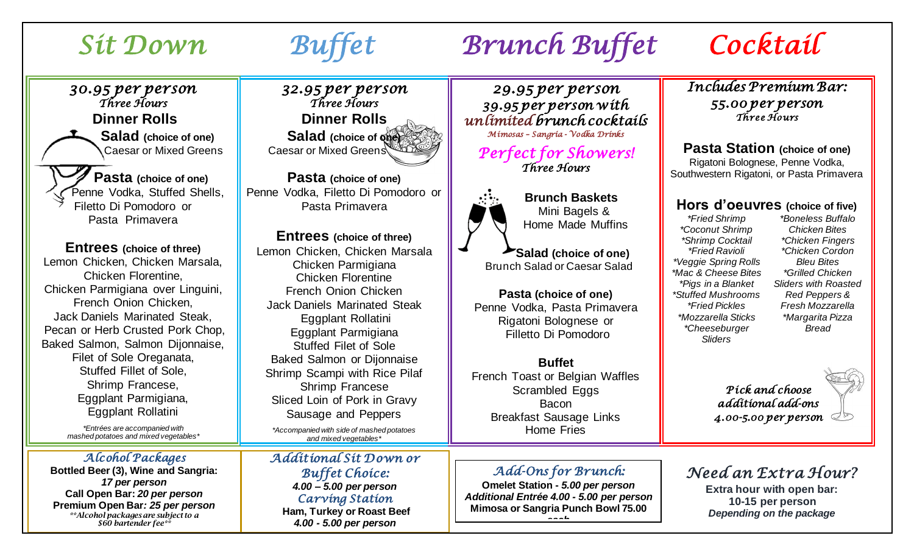# *Sit Down Buffet Brunch Buffet Cocktail*

*30.95 per person Three Hours*  **Dinner Rolls**  **Salad (choice of one)** Caesar or Mixed Greens

 **Pasta (choice of one)** Penne Vodka, Stuffed Shells, Filetto Di Pomodoro or Pasta Primavera

**Entrees (choice of three)** Lemon Chicken, Chicken Marsala, Chicken Florentine, Chicken Parmigiana over Linguini, French Onion Chicken, Jack Daniels Marinated Steak, Pecan or Herb Crusted Pork Chop, Baked Salmon, Salmon Dijonnaise, Filet of Sole Oreganata, Stuffed Fillet of Sole, Shrimp Francese, Eggplant Parmigiana, Eggplant Rollatini

*\*Entrées are accompanied with mashed potatoes and mixed vegetables\**

*Alcohol Packages*  **Bottled Beer (3), Wine and Sangria:**  *17 per person*

**Call Open Bar:** *20 per person* **Premium Open Bar***: 25 per person \*\*Alcohol packages are subject to a \$60 bartender fee\*\**

*32.95 per person Three Hours*  **Dinner Rolls Salad (choice of one)** Caesar or Mixed Greens

**Pasta (choice of one)** Penne Vodka, Filetto Di Pomodoro or Pasta Primavera

**Entrees (choice of three)** Lemon Chicken, Chicken Marsala Chicken Parmigiana Chicken Florentine French Onion Chicken Jack Daniels Marinated Steak Eggplant Rollatini Eggplant Parmigiana Stuffed Filet of Sole Baked Salmon or Dijonnaise Shrimp Scampi with Rice Pilaf Shrimp Francese Sliced Loin of Pork in Gravy Sausage and Peppers

*\*Accompanied with side of mashed potatoes and mixed vegetables\**

*Additional Sit Down or Buffet Choice: 4.00 – 5.00 per person Carving Station*  **Ham, Turkey or Roast Beef**  *4.00 - 5.00 per person*

*29.95 per person 39.95 per person with unlimited brunch cocktails Mimosas – Sangria - Vodka Drinks* 

*Perfect for Showers! Three Hours* 



 **Brunch Baskets** Mini Bagels & Home Made Muffins

 **Salad (choice of one)** Brunch Salad or Caesar Salad

**Pasta (choice of one)** Penne Vodka, Pasta Primavera Rigatoni Bolognese or Filletto Di Pomodoro

**Buffet** French Toast or Belgian Waffles Scrambled Eggs Bacon Breakfast Sausage Links Home Fries

### *Add-Ons for Brunch:*

**Omelet Station -** *5.00 per person Additional Entrée 4.00 - 5.00 per person* **Mimosa or Sangria Punch Bowl 75.00** *each*

### *Includes Premium Bar: 55.00 per person Three Hours*

**Pasta Station (choice of one)** Rigatoni Bolognese, Penne Vodka, Southwestern Rigatoni, or Pasta Primavera

### **Hors d'oeuvres (choice of five)**

*\*Fried Shrimp \*Coconut Shrimp \*Shrimp Cocktail \*Fried Ravioli \*Veggie Spring Rolls \*Mac & Cheese Bites \*Pigs in a Blanket \*Stuffed Mushrooms \*Fried Pickles \*Mozzarella Sticks \*Cheeseburger Sliders*

*\*Boneless Buffalo Chicken Bites \*Chicken Fingers \*Chicken Cordon Bleu Bites \*Grilled Chicken Sliders with Roasted Red Peppers & Fresh Mozzarella \*Margarita Pizza Bread* 

*Pick and choose additional add-ons 4.00-5.00 per person* 

*Need an Extra Hour?*

**Extra hour with open bar: 10-15 per person** *Depending on the package*